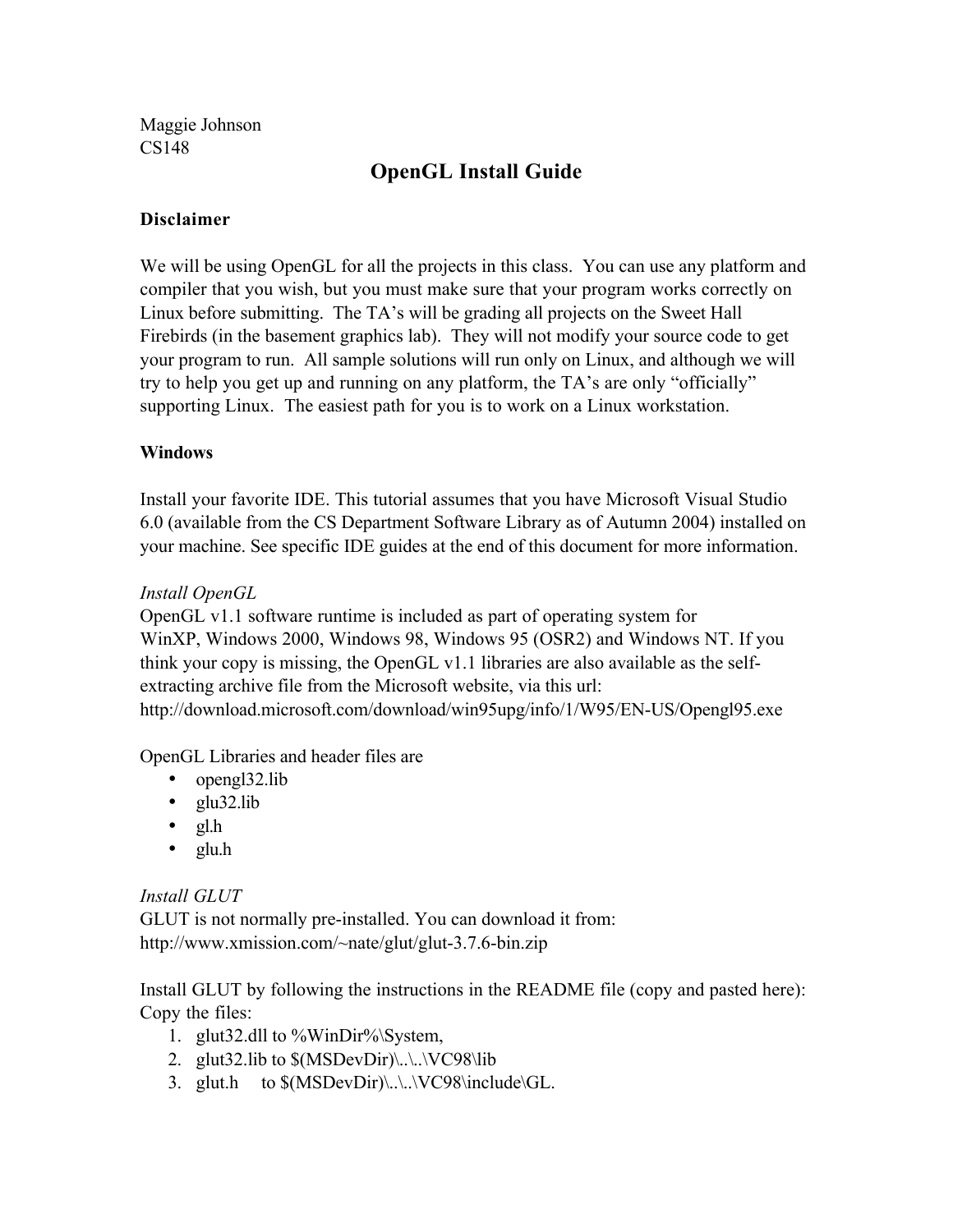Maggie Johnson CS148

# OpenGL Install Guide

### Disclaimer

We will be using OpenGL for all the projects in this class. You can use any platform and compiler that you wish, but you must make sure that your program works correctly on Linux before submitting. The TA's will be grading all projects on the Sweet Hall Firebirds (in the basement graphics lab). They will not modify your source code to get your program to run. All sample solutions will run only on Linux, and although we will try to help you get up and running on any platform, the TA's are only "officially" supporting Linux. The easiest path for you is to work on a Linux workstation.

### **Windows**

Install your favorite IDE. This tutorial assumes that you have Microsoft Visual Studio 6.0 (available from the CS Department Software Library as of Autumn 2004) installed on your machine. See specific IDE guides at the end of this document for more information.

### *Install OpenGL*

OpenGL v1.1 software runtime is included as part of operating system for WinXP, Windows 2000, Windows 98, Windows 95 (OSR2) and Windows NT. If you think your copy is missing, the OpenGL v1.1 libraries are also available as the selfextracting archive file from the Microsoft website, via this url: http://download.microsoft.com/download/win95upg/info/1/W95/EN-US/Opengl95.exe

OpenGL Libraries and header files are

- opengl32.lib
- $\cdot$  glu32.lib
- $gl.h$
- glu.h

### *Install GLUT*

GLUT is not normally pre-installed. You can download it from: http://www.xmission.com/~nate/glut/glut-3.7.6-bin.zip

Install GLUT by following the instructions in the README file (copy and pasted here): Copy the files:

- 1. glut32.dll to  $\frac{6}{W}$ inDir%\System,
- 2. glut32.lib to \$(MSDevDir)\..\..\VC98\lib
- 3. glut.h to \$(MSDevDir)\..\..\VC98\include\GL.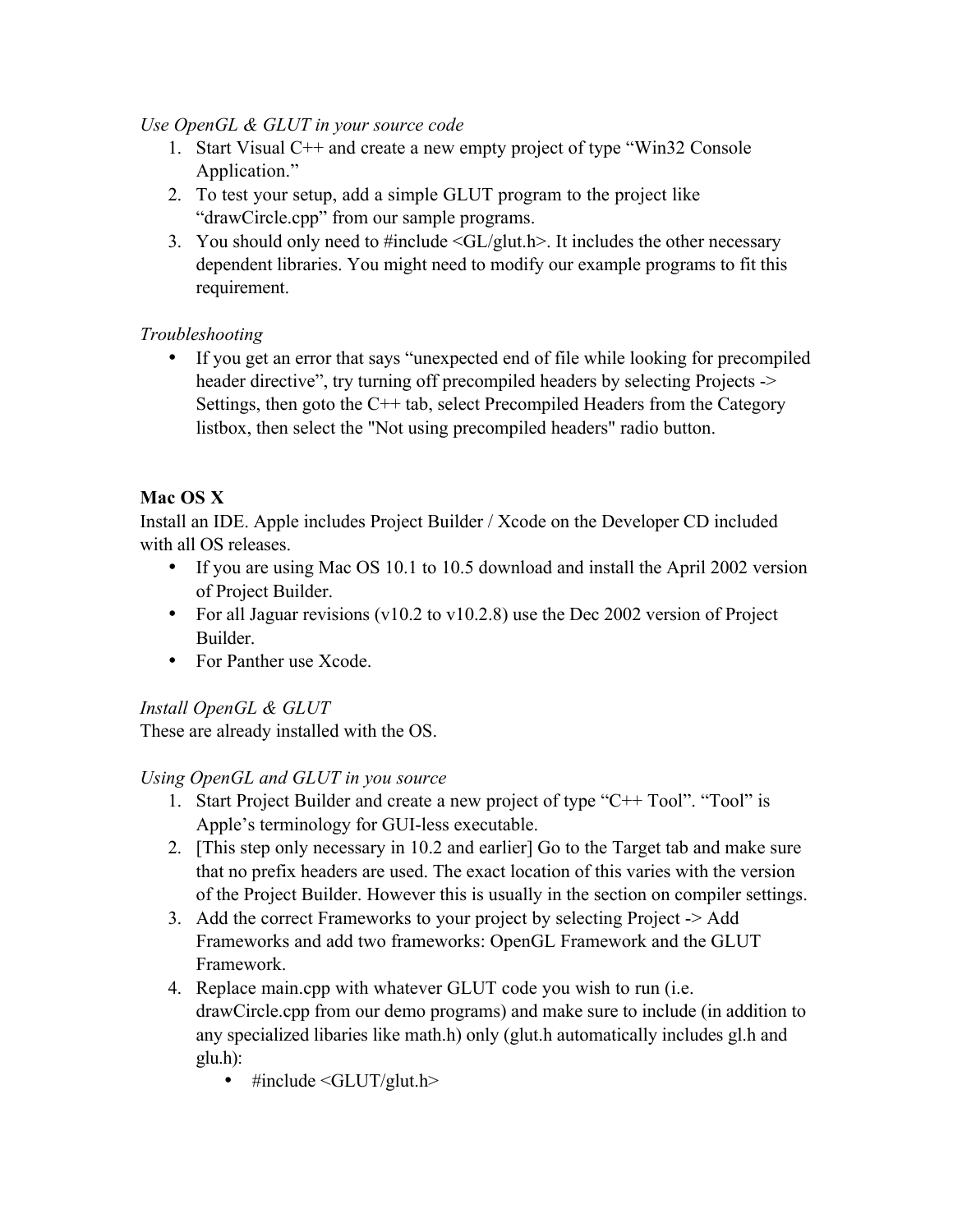### *Use OpenGL & GLUT in your source code*

- 1. Start Visual C++ and create a new empty project of type "Win32 Console Application."
- 2. To test your setup, add a simple GLUT program to the project like "drawCircle.cpp" from our sample programs.
- 3. You should only need to #include  $\langle GL/g|$ ut.h>. It includes the other necessary dependent libraries. You might need to modify our example programs to fit this requirement.

# *Troubleshooting*

• If you get an error that says "unexpected end of file while looking for precompiled header directive", try turning off precompiled headers by selecting Projects -> Settings, then goto the C++ tab, select Precompiled Headers from the Category listbox, then select the "Not using precompiled headers" radio button.

# Mac OS X

Install an IDE. Apple includes Project Builder / Xcode on the Developer CD included with all OS releases.

- If you are using Mac OS 10.1 to 10.5 download and install the April 2002 version of Project Builder.
- For all Jaguar revisions (v10.2 to v10.2.8) use the Dec 2002 version of Project Builder.
- For Panther use Xcode.

### *Install OpenGL & GLUT*

These are already installed with the OS.

### *Using OpenGL and GLUT in you source*

- 1. Start Project Builder and create a new project of type "C++ Tool". "Tool" is Apple's terminology for GUI-less executable.
- 2. [This step only necessary in 10.2 and earlier] Go to the Target tab and make sure that no prefix headers are used. The exact location of this varies with the version of the Project Builder. However this is usually in the section on compiler settings.
- 3. Add the correct Frameworks to your project by selecting Project -> Add Frameworks and add two frameworks: OpenGL Framework and the GLUT Framework.
- 4. Replace main.cpp with whatever GLUT code you wish to run (i.e. drawCircle.cpp from our demo programs) and make sure to include (in addition to any specialized libaries like math.h) only (glut.h automatically includes gl.h and glu.h):
	- $\bullet$  #include <GLUT/glut.h>